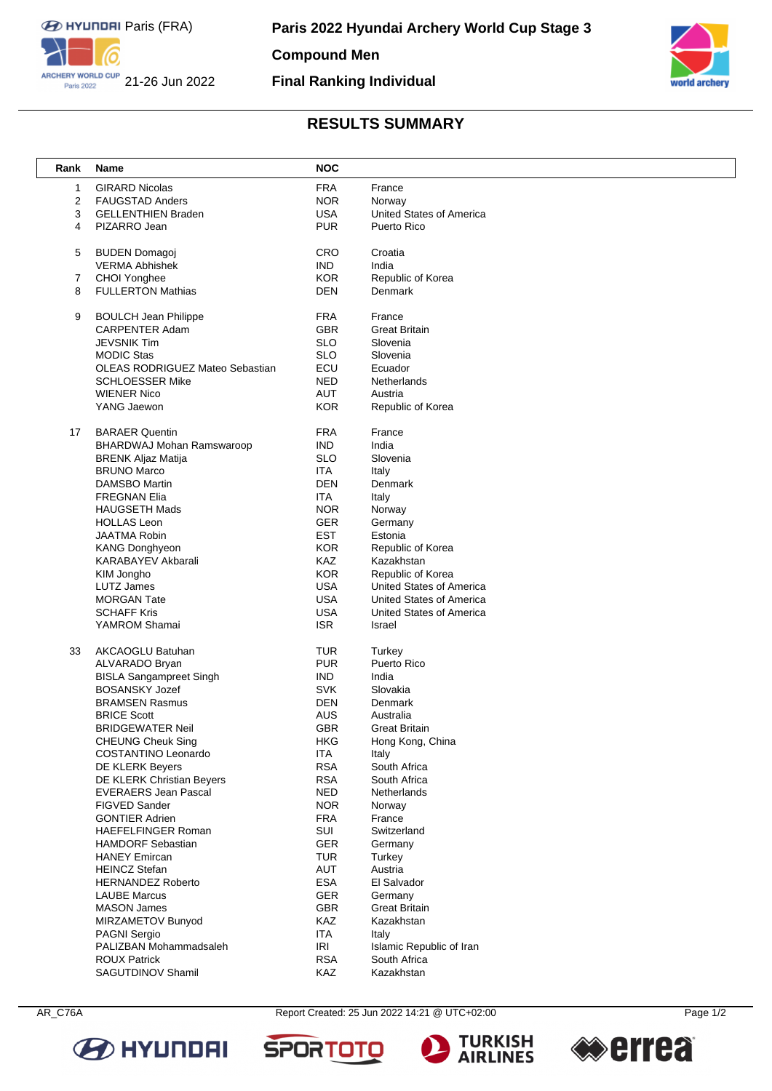

**Compound Men**

## **Final Ranking Individual**



## **RESULTS SUMMARY**

| Rank | <b>Name</b>                            | <b>NOC</b> |                          |
|------|----------------------------------------|------------|--------------------------|
| 1    | <b>GIRARD Nicolas</b>                  | <b>FRA</b> | France                   |
| 2    | <b>FAUGSTAD Anders</b>                 | <b>NOR</b> | Norway                   |
| 3    | <b>GELLENTHIEN Braden</b>              | <b>USA</b> | United States of America |
| 4    | PIZARRO Jean                           | <b>PUR</b> | Puerto Rico              |
|      |                                        |            |                          |
| 5    | <b>BUDEN Domagoj</b>                   | CRO        | Croatia                  |
|      | <b>VERMA Abhishek</b>                  | <b>IND</b> | India                    |
| 7    | <b>CHOI Yonghee</b>                    | <b>KOR</b> | Republic of Korea        |
| 8    | <b>FULLERTON Mathias</b>               | <b>DEN</b> | Denmark                  |
| 9    | <b>BOULCH Jean Philippe</b>            | <b>FRA</b> | France                   |
|      | <b>CARPENTER Adam</b>                  | <b>GBR</b> | <b>Great Britain</b>     |
|      | JEVSNIK Tim                            | <b>SLO</b> | Slovenia                 |
|      | <b>MODIC Stas</b>                      | <b>SLO</b> | Slovenia                 |
|      | <b>OLEAS RODRIGUEZ Mateo Sebastian</b> | ECU        | Ecuador                  |
|      | <b>SCHLOESSER Mike</b>                 | <b>NED</b> | Netherlands              |
|      | <b>WIENER Nico</b>                     | <b>AUT</b> | Austria                  |
|      | YANG Jaewon                            | <b>KOR</b> | Republic of Korea        |
| 17   | <b>BARAER Quentin</b>                  | <b>FRA</b> | France                   |
|      | BHARDWAJ Mohan Ramswaroop              | <b>IND</b> | India                    |
|      | <b>BRENK Aljaz Matija</b>              | <b>SLO</b> | Slovenia                 |
|      | <b>BRUNO Marco</b>                     | <b>ITA</b> | Italy                    |
|      | DAMSBO Martin                          | <b>DEN</b> | Denmark                  |
|      | FREGNAN Elia                           | ITA        | Italy                    |
|      | <b>HAUGSETH Mads</b>                   | <b>NOR</b> | Norway                   |
|      | <b>HOLLAS Leon</b>                     | <b>GER</b> | Germany                  |
|      | <b>JAATMA Robin</b>                    | <b>EST</b> | Estonia                  |
|      | <b>KANG Donghyeon</b>                  | <b>KOR</b> | Republic of Korea        |
|      | KARABAYEV Akbarali                     | <b>KAZ</b> | Kazakhstan               |
|      | KIM Jongho                             | <b>KOR</b> | Republic of Korea        |
|      | LUTZ James                             | <b>USA</b> | United States of America |
|      | <b>MORGAN Tate</b>                     | <b>USA</b> | United States of America |
|      | <b>SCHAFF Kris</b>                     | <b>USA</b> | United States of America |
|      | YAMROM Shamai                          | <b>ISR</b> | Israel                   |
| 33   | AKCAOGLU Batuhan                       | TUR        | Turkey                   |
|      | ALVARADO Bryan                         | <b>PUR</b> | Puerto Rico              |
|      | <b>BISLA Sangampreet Singh</b>         | IND.       | India                    |
|      | <b>BOSANSKY Jozef</b>                  | <b>SVK</b> | Slovakia                 |
|      | <b>BRAMSEN Rasmus</b>                  | <b>DEN</b> | Denmark                  |
|      | <b>BRICE Scott</b>                     | <b>AUS</b> | Australia                |
|      | <b>BRIDGEWATER Neil</b>                | <b>GBR</b> | <b>Great Britain</b>     |
|      | <b>CHEUNG Cheuk Sing</b>               | <b>HKG</b> | Hong Kong, China         |
|      | COSTANTINO Leonardo                    | <b>ITA</b> | Italy                    |
|      | <b>DE KLERK Beyers</b>                 | <b>RSA</b> | South Africa             |
|      | DE KLERK Christian Beyers              | <b>RSA</b> | South Africa             |
|      | <b>EVERAERS Jean Pascal</b>            | <b>NED</b> | Netherlands              |
|      | FIGVED Sander                          | <b>NOR</b> | Norway                   |
|      | <b>GONTIER Adrien</b>                  | <b>FRA</b> | France                   |
|      | <b>HAEFELFINGER Roman</b>              | SUI        | Switzerland              |
|      | <b>HAMDORF Sebastian</b>               | <b>GER</b> | Germany                  |
|      | <b>HANEY Emircan</b>                   | <b>TUR</b> | Turkey                   |
|      | <b>HEINCZ Stefan</b>                   | AUT        | Austria                  |
|      | <b>HERNANDEZ Roberto</b>               | ESA        | El Salvador              |
|      | <b>LAUBE Marcus</b>                    | <b>GER</b> | Germany                  |
|      | <b>MASON James</b>                     | GBR        | <b>Great Britain</b>     |
|      | MIRZAMETOV Bunyod                      | <b>KAZ</b> | Kazakhstan               |
|      | <b>PAGNI Sergio</b>                    | <b>ITA</b> | Italy                    |
|      | PALIZBAN Mohammadsaleh                 | <b>IRI</b> | Islamic Republic of Iran |
|      | <b>ROUX Patrick</b>                    | <b>RSA</b> | South Africa             |
|      | SAGUTDINOV Shamil                      | <b>KAZ</b> | Kazakhstan               |



**SPORTOT**